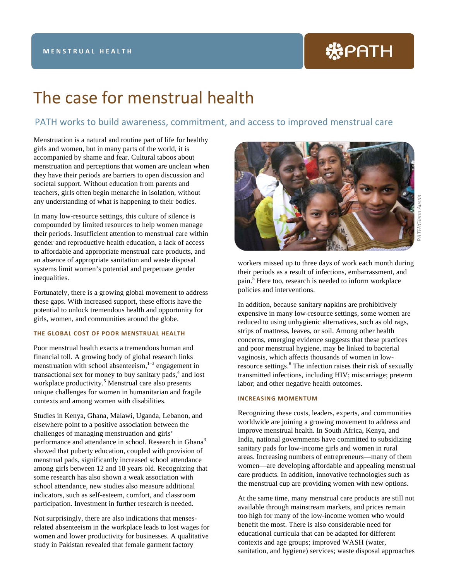# 米PATH

## The case for menstrual health

### PATH works to build awareness, commitment, and access to improved menstrual care

Menstruation is a natural and routine part of life for healthy girls and women, but in many parts of the world, it is accompanied by shame and fear. Cultural taboos about menstruation and perceptions that women are unclean when they have their periods are barriers to open discussion and societal support. Without education from parents and teachers, girls often begin menarche in isolation, without any understanding of what is happening to their bodies.

In many low-resource settings, this culture of silence is compounded by limited resources to help women manage their periods. Insufficient attention to menstrual care within gender and reproductive health education, a lack of access to affordable and appropriate menstrual care products, and an absence of appropriate sanitation and waste disposal systems limit women's potential and perpetuate gender inequalities.

Fortunately, there is a growing global movement to address these gaps. With increased support, these efforts have the potential to unlock tremendous health and opportunity for girls, women, and communities around the globe.

#### **THE GLOBAL COST OF POOR MENSTRUAL HEALTH**

Poor menstrual health exacts a tremendous human and financial toll. A growing body of global research links menstruation with school absenteeism, <sup>1-3</sup> engagement in transactional sex for money to buy sanitary pads, <sup>4</sup> and lost workplace productivity.<sup>5</sup> Menstrual care also presents unique challenges for women in humanitarian and fragile contexts and among women with disabilities.

Studies in Kenya, Ghana, Malawi, Uganda, Lebanon, and elsewhere point to a positive association between the challenges of managing menstruation and girls' performance and attendance in school. Research in Ghana<sup>3</sup> showed that puberty education, coupled with provision of menstrual pads, significantly increased school attendance among girls between 12 and 18 years old. Recognizing that some research has also shown a weak association with school attendance, new studies also measure additional indicators, such as self-esteem, comfort, and classroom participation. Investment in further research is needed.

Not surprisingly, there are also indications that mensesrelated absenteeism in the workplace leads to lost wages for women and lower productivity for businesses. A qualitative study in Pakistan revealed that female garment factory



workers missed up to three days of work each month during their periods as a result of infections, embarrassment, and pain.<sup>5</sup> Here too, research is needed to inform workplace policies and interventions.

In addition, because sanitary napkins are prohibitively expensive in many low-resource settings, some women are reduced to using unhygienic alternatives, such as old rags, strips of mattress, leaves, or soil. Among other health concerns, emerging evidence suggests that these practices and poor menstrual hygiene, may be linked to bacterial vaginosis, which affects thousands of women in lowresource settings.<sup>6</sup> The infection raises their risk of sexually transmitted infections, including HIV; miscarriage; preterm labor; and other negative health outcomes.

#### **INCREASING MOMENTUM**

Recognizing these costs, leaders, experts, and communities worldwide are joining a growing movement to address and improve menstrual health. In South Africa, Kenya, and India, national governments have committed to subsidizing sanitary pads for low-income girls and women in rural areas. Increasing numbers of entrepreneurs—many of them women—are developing affordable and appealing menstrual care products. In addition, innovative technologies such as the menstrual cup are providing women with new options.

At the same time, many menstrual care products are still not available through mainstream markets, and prices remain too high for many of the low-income women who would benefit the most. There is also considerable need for educational curricula that can be adapted for different contexts and age groups; improved WASH (water, sanitation, and hygiene) services; waste disposal approaches